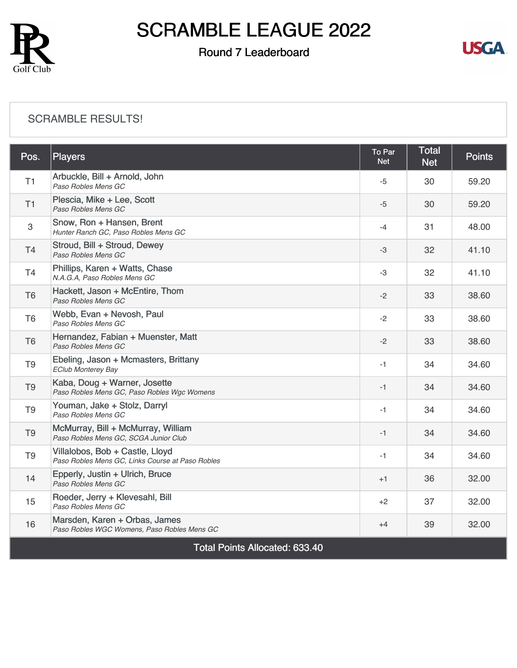

### Round 7 Leaderboard



#### [SCRAMBLE RESULTS!](https://cdn2.golfgenius.com/v2tournaments/8387629954443034508?called_from=&round_index=7)

| Pos.                                  | <b>Players</b>                                                                      | To Par<br><b>Net</b> | <b>Total</b><br><b>Net</b> | <b>Points</b> |  |
|---------------------------------------|-------------------------------------------------------------------------------------|----------------------|----------------------------|---------------|--|
| T <sub>1</sub>                        | Arbuckle, Bill + Arnold, John<br>Paso Robles Mens GC                                | -5                   | 30                         | 59.20         |  |
| T1                                    | Plescia, Mike + Lee, Scott<br>Paso Robles Mens GC                                   | $-5$                 | 30                         | 59.20         |  |
| 3                                     | Snow, Ron + Hansen, Brent<br>Hunter Ranch GC, Paso Robles Mens GC                   | $-4$                 | 31                         | 48.00         |  |
| T4                                    | Stroud, Bill + Stroud, Dewey<br>Paso Robles Mens GC                                 | $-3$                 | 32                         | 41.10         |  |
| T <sub>4</sub>                        | Phillips, Karen + Watts, Chase<br>N.A.G.A, Paso Robles Mens GC                      | -3                   | 32                         | 41.10         |  |
| T <sub>6</sub>                        | Hackett, Jason + McEntire, Thom<br>Paso Robles Mens GC                              | $-2$                 | 33                         | 38.60         |  |
| T <sub>6</sub>                        | Webb, Evan + Nevosh, Paul<br>Paso Robles Mens GC                                    | $-2$                 | 33                         | 38.60         |  |
| T <sub>6</sub>                        | Hernandez, Fabian + Muenster, Matt<br>Paso Robles Mens GC                           | $-2$                 | 33                         | 38.60         |  |
| T <sub>9</sub>                        | Ebeling, Jason + Mcmasters, Brittany<br><b>EClub Monterey Bay</b>                   | $-1$                 | 34                         | 34.60         |  |
| T <sub>9</sub>                        | Kaba, Doug + Warner, Josette<br>Paso Robles Mens GC, Paso Robles Wgc Womens         | $-1$                 | 34                         | 34.60         |  |
| T <sub>9</sub>                        | Youman, Jake + Stolz, Darryl<br>Paso Robles Mens GC                                 | $-1$                 | 34                         | 34.60         |  |
| T <sub>9</sub>                        | McMurray, Bill + McMurray, William<br>Paso Robles Mens GC, SCGA Junior Club         | $-1$                 | 34                         | 34.60         |  |
| T <sub>9</sub>                        | Villalobos, Bob + Castle, Lloyd<br>Paso Robles Mens GC, Links Course at Paso Robles | $-1$                 | 34                         | 34.60         |  |
| 14                                    | Epperly, Justin + Ulrich, Bruce<br>Paso Robles Mens GC                              | $+1$                 | 36                         | 32.00         |  |
| 15                                    | Roeder, Jerry + Klevesahl, Bill<br>Paso Robles Mens GC                              | $+2$                 | 37                         | 32.00         |  |
| 16                                    | Marsden, Karen + Orbas, James<br>Paso Robles WGC Womens, Paso Robles Mens GC        | $+4$                 | 39                         | 32.00         |  |
| <b>Total Points Allocated: 633.40</b> |                                                                                     |                      |                            |               |  |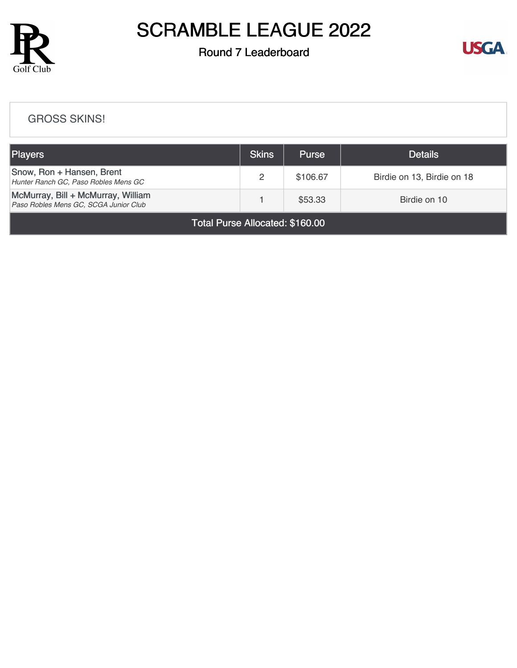

## Round 7 Leaderboard



#### [GROSS SKINS!](https://cdn2.golfgenius.com/v2tournaments/8387633820450471821?called_from=&round_index=7)

| Players                                                                     | <b>Skins</b> | <b>Purse</b> | <b>Details</b>             |  |  |  |
|-----------------------------------------------------------------------------|--------------|--------------|----------------------------|--|--|--|
| Snow, Ron + Hansen, Brent<br>Hunter Ranch GC, Paso Robles Mens GC           | 2            | \$106.67     | Birdie on 13, Birdie on 18 |  |  |  |
| McMurray, Bill + McMurray, William<br>Paso Robles Mens GC, SCGA Junior Club |              | \$53.33      | Birdie on 10               |  |  |  |
| $T \cup D$ all $\cup$ and $\cup$                                            |              |              |                            |  |  |  |

Total Purse Allocated: \$160.00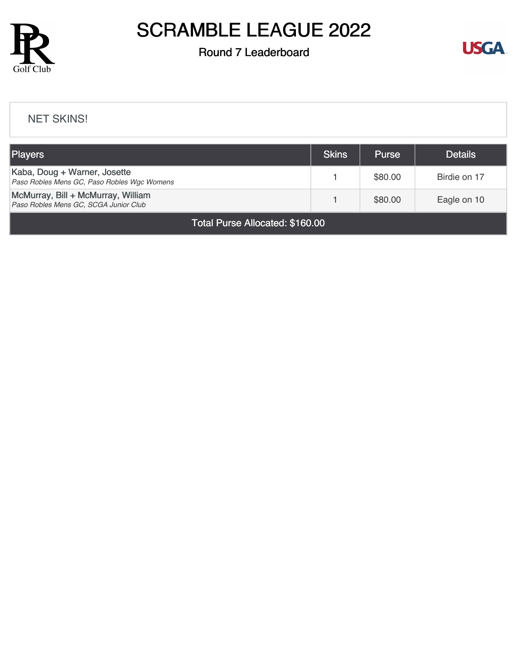

## Round 7 Leaderboard



#### [NET SKINS!](https://cdn2.golfgenius.com/v2tournaments/8387636222276714384?called_from=&round_index=7)

| <b>Players</b>                                                              | <b>Skins</b> | <b>Purse</b> | <b>Details</b> |  |
|-----------------------------------------------------------------------------|--------------|--------------|----------------|--|
| Kaba, Doug + Warner, Josette<br>Paso Robles Mens GC, Paso Robles Wgc Womens |              | \$80.00      | Birdie on 17   |  |
| McMurray, Bill + McMurray, William<br>Paso Robles Mens GC, SCGA Junior Club |              | \$80.00      | Eagle on 10    |  |
| Total Purse Allocated: \$160.00                                             |              |              |                |  |